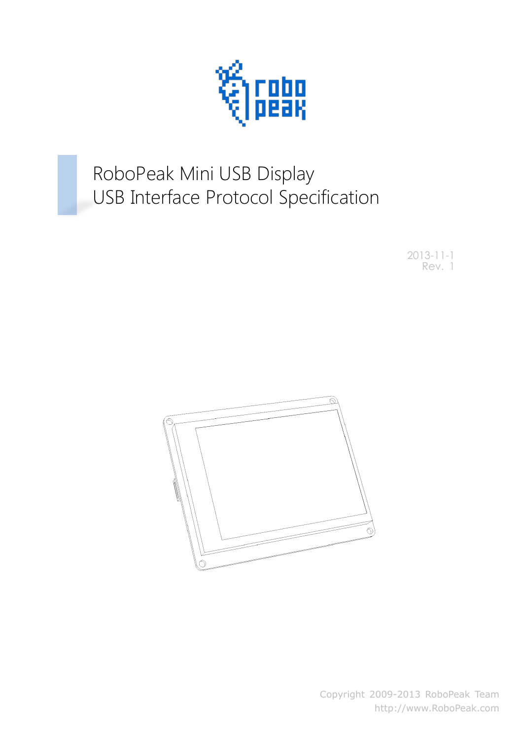

# RoboPeak Mini USB Display USB Interface Protocol Specification

2013-11-1 Rev. 1



Copyright 2009-2013 RoboPeak Team http://www.RoboPeak.com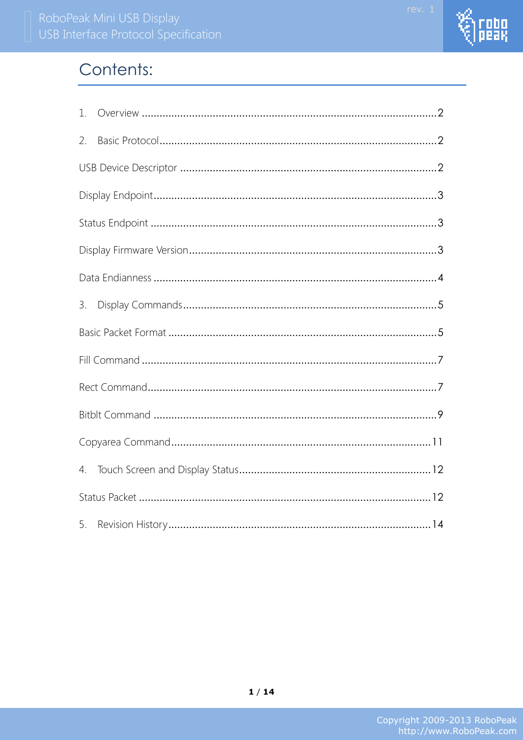

# Contents:

| 1. |  |
|----|--|
| 2. |  |
|    |  |
|    |  |
|    |  |
|    |  |
|    |  |
| 3. |  |
|    |  |
|    |  |
|    |  |
|    |  |
|    |  |
|    |  |
|    |  |
| 5. |  |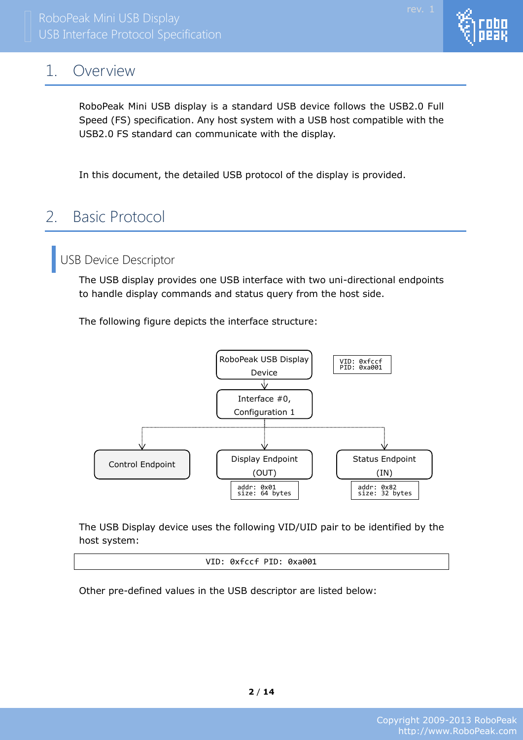# <span id="page-2-0"></span>1. Overview

RoboPeak Mini USB display is a standard USB device follows the USB2.0 Full Speed (FS) specification. Any host system with a USB host compatible with the USB2.0 FS standard can communicate with the display.

<span id="page-2-1"></span>In this document, the detailed USB protocol of the display is provided.

# 2. Basic Protocol

<span id="page-2-2"></span>USB Device Descriptor

The USB display provides one USB interface with two uni-directional endpoints to handle display commands and status query from the host side.

The following figure depicts the interface structure:



The USB Display device uses the following VID/UID pair to be identified by the host system:

VID: 0xfccf PID: 0xa001

Other pre-defined values in the USB descriptor are listed below:

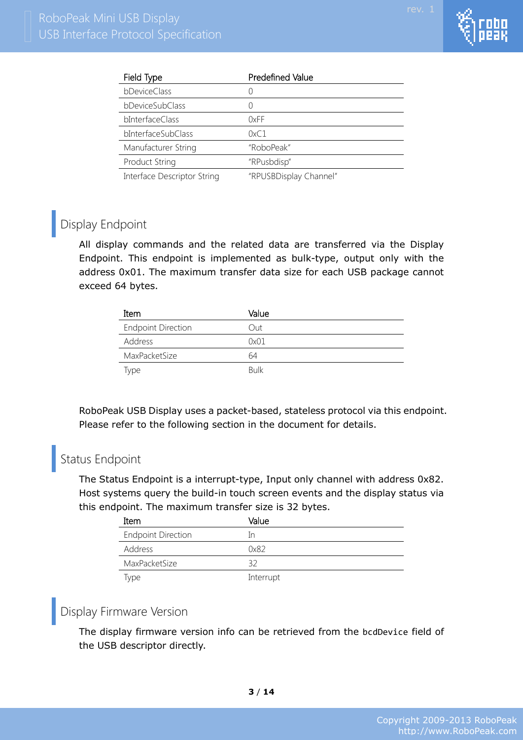

| Field Type                  | Predefined Value       |
|-----------------------------|------------------------|
| bDeviceClass                | $\left( \right)$       |
| bDeviceSubClass             | 0                      |
| bInterfaceClass             | 0xFF                   |
| bInterfaceSubClass          | 0xC1                   |
| Manufacturer String         | "RoboPeak"             |
| <b>Product String</b>       | "RPusbdisp"            |
| Interface Descriptor String | "RPUSBDisplay Channel" |

# <span id="page-3-0"></span>Display Endpoint

All display commands and the related data are transferred via the Display Endpoint. This endpoint is implemented as bulk-type, output only with the address 0x01. The maximum transfer data size for each USB package cannot exceed 64 bytes.

| Item                      | Value       |
|---------------------------|-------------|
| <b>Endpoint Direction</b> | Out         |
| <b>Address</b>            | 0x01        |
| MaxPacketSize             | 64          |
| Type                      | <b>Bulk</b> |

RoboPeak USB Display uses a packet-based, stateless protocol via this endpoint. Please refer to the following section in the document for details.

# <span id="page-3-1"></span>Status Endpoint

The Status Endpoint is a interrupt-type, Input only channel with address 0x82. Host systems query the build-in touch screen events and the display status via this endpoint. The maximum transfer size is 32 bytes.

| Item                      | Value     |
|---------------------------|-----------|
| <b>Endpoint Direction</b> | In        |
| Address                   | 0x82      |
| MaxPacketSize             | 32        |
| iype                      | Interrupt |

# <span id="page-3-2"></span>Display Firmware Version

The display firmware version info can be retrieved from the bcdDevice field of the USB descriptor directly.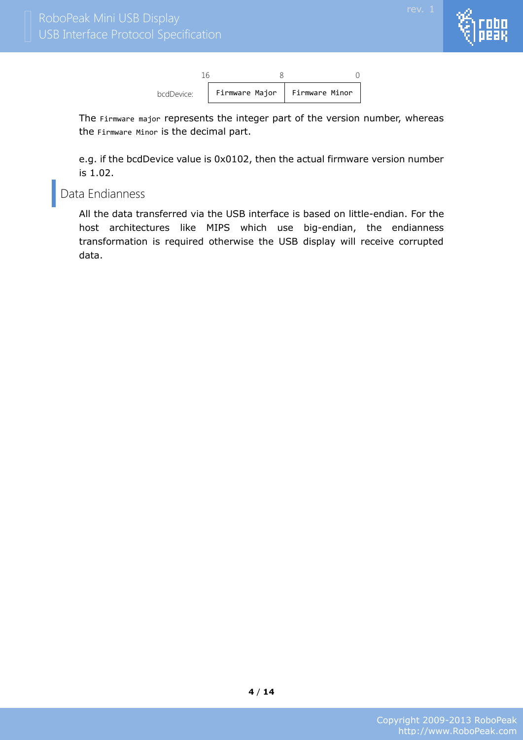



The Firmware major represents the integer part of the version number, whereas the Firmware Minor is the decimal part.

e.g. if the bcdDevice value is 0x0102, then the actual firmware version number is 1.02.

### <span id="page-4-0"></span>Data Endianness

All the data transferred via the USB interface is based on little-endian. For the host architectures like MIPS which use big-endian, the endianness transformation is required otherwise the USB display will receive corrupted data.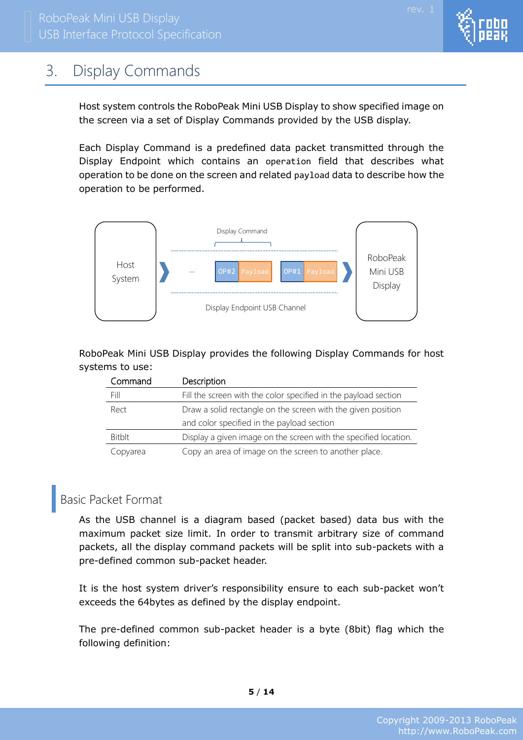

# <span id="page-5-0"></span>3. Display Commands

Host system controls the RoboPeak Mini USB Display to show specified image on the screen via a set of Display Commands provided by the USB display.

Each Display Command is a predefined data packet transmitted through the Display Endpoint which contains an operation field that describes what operation to be done on the screen and related payload data to describe how the operation to be performed.



RoboPeak Mini USB Display provides the following Display Commands for host systems to use:

| Command       | Description                                                      |
|---------------|------------------------------------------------------------------|
| Fill          | Fill the screen with the color specified in the payload section  |
| Rect          | Draw a solid rectangle on the screen with the given position     |
|               | and color specified in the payload section                       |
| <b>Bitblt</b> | Display a given image on the screen with the specified location. |
| Copyarea      | Copy an area of image on the screen to another place.            |

## <span id="page-5-1"></span>Basic Packet Format

As the USB channel is a diagram based (packet based) data bus with the maximum packet size limit. In order to transmit arbitrary size of command packets, all the display command packets will be split into sub-packets with a pre-defined common sub-packet header.

It is the host system driver's responsibility ensure to each sub-packet won't exceeds the 64bytes as defined by the display endpoint.

The pre-defined common sub-packet header is a byte (8bit) flag which the following definition: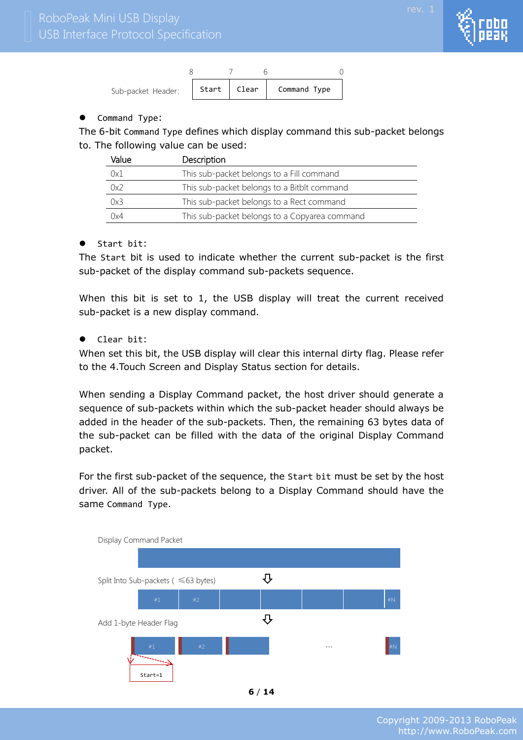



#### • Command Type:

The 6-bit Command Type defines which display command this sub-packet belongs to. The following value can be used:

| Value | Description                                   |  |  |  |
|-------|-----------------------------------------------|--|--|--|
| 0x1   | This sub-packet belongs to a Fill command     |  |  |  |
| 0x2   | This sub-packet belongs to a Bitblt command   |  |  |  |
| 0x3   | This sub-packet belongs to a Rect command     |  |  |  |
| 0x4   | This sub-packet belongs to a Copyarea command |  |  |  |

#### Start bit:

The Start bit is used to indicate whether the current sub-packet is the first sub-packet of the display command sub-packets sequence.

When this bit is set to 1, the USB display will treat the current received sub-packet is a new display command.

#### Clear bit:

When set this bit, the USB display will clear this internal dirty flag. Please refer to the 4.Touch Screen and Display Status section for details.

When sending a Display Command packet, the host driver should generate a sequence of sub-packets within which the sub-packet header should always be added in the header of the sub-packets. Then, the remaining 63 bytes data of the sub-packet can be filled with the data of the original Display Command packet.

For the first sub-packet of the sequence, the Start bit must be set by the host driver. All of the sub-packets belong to a Display Command should have the same Command Type.



**6** / **14**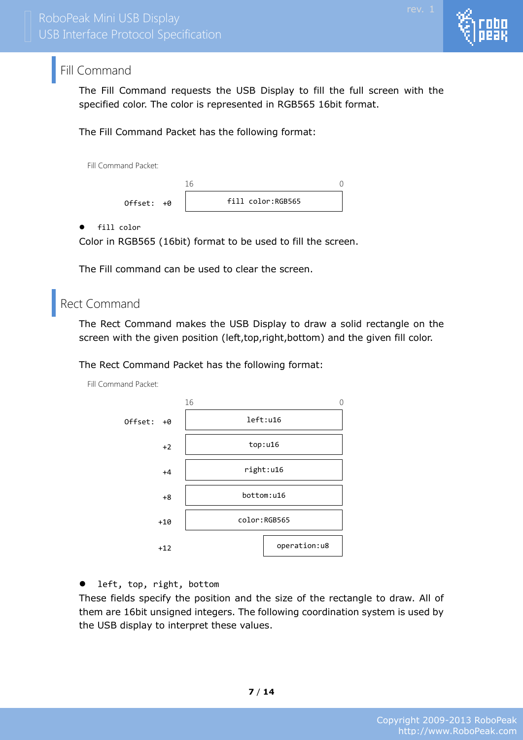<span id="page-7-0"></span>The Fill Command requests the USB Display to fill the full screen with the specified color. The color is represented in RGB565 16bit format.

The Fill Command Packet has the following format:

Fill Command Packet:

fill color:RGB565 16 0 Offset: +0

fill color

Color in RGB565 (16bit) format to be used to fill the screen.

The Fill command can be used to clear the screen.

## <span id="page-7-1"></span>Rect Command

The Rect Command makes the USB Display to draw a solid rectangle on the screen with the given position (left,top,right,bottom) and the given fill color.

The Rect Command Packet has the following format:

Fill Command Packet:



**•** left, top, right, bottom

These fields specify the position and the size of the rectangle to draw. All of them are 16bit unsigned integers. The following coordination system is used by the USB display to interpret these values.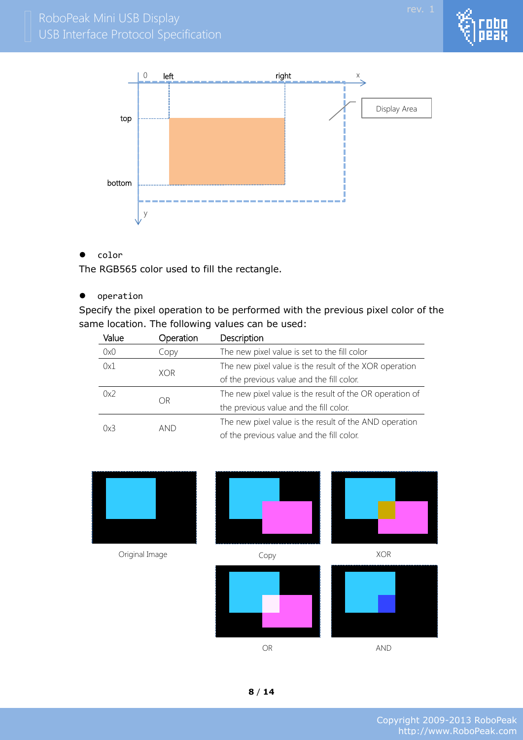

 $\bullet$  color

The RGB565 color used to fill the rectangle.

 $\bullet$  operation

Specify the pixel operation to be performed with the previous pixel color of the same location. The following values can be used:

| Value      | Operation | Description                                              |  |
|------------|-----------|----------------------------------------------------------|--|
| 0x0        | Copy      | The new pixel value is set to the fill color             |  |
| 0x1        |           | The new pixel value is the result of the XOR operation   |  |
| <b>XOR</b> |           | of the previous value and the fill color.                |  |
| 0x2<br>OR  |           | The new pixel value is the result of the OR operation of |  |
|            |           | the previous value and the fill color.                   |  |
|            | and       | The new pixel value is the result of the AND operation   |  |
| 0x3        |           | of the previous value and the fill color.                |  |

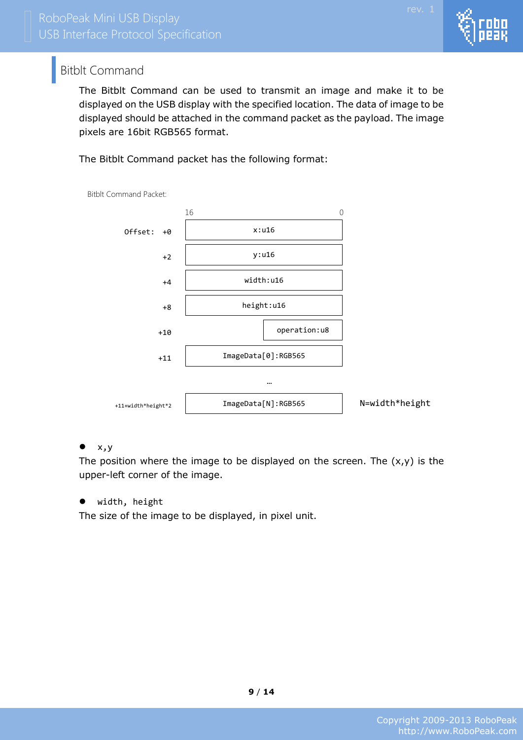

## <span id="page-9-0"></span>Bitblt Command

The Bitblt Command can be used to transmit an image and make it to be displayed on the USB display with the specified location. The data of image to be displayed should be attached in the command packet as the payload. The image pixels are 16bit RGB565 format.

The Bitblt Command packet has the following format:



Bitblt Command Packet:

#### $\bullet x,y$

The position where the image to be displayed on the screen. The  $(x,y)$  is the upper-left corner of the image.

width, height

The size of the image to be displayed, in pixel unit.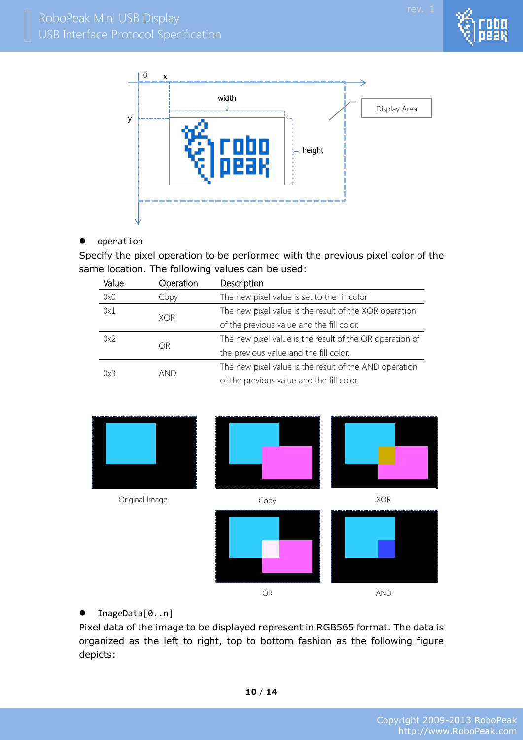



#### operation

Specify the pixel operation to be performed with the previous pixel color of the same location. The following values can be used:

| Value             | Operation | Description                                              |  |
|-------------------|-----------|----------------------------------------------------------|--|
| 0x0               | Copy      | The new pixel value is set to the fill color             |  |
| 0x1<br><b>XOR</b> |           | The new pixel value is the result of the XOR operation   |  |
|                   |           | of the previous value and the fill color.                |  |
| 0x2               |           | The new pixel value is the result of the OR operation of |  |
| OR                |           | the previous value and the fill color.                   |  |
|                   |           | The new pixel value is the result of the AND operation   |  |
| 0x3               | and       | of the previous value and the fill color.                |  |



#### ImageData[0..n]

Pixel data of the image to be displayed represent in RGB565 format. The data is organized as the left to right, top to bottom fashion as the following figure depicts: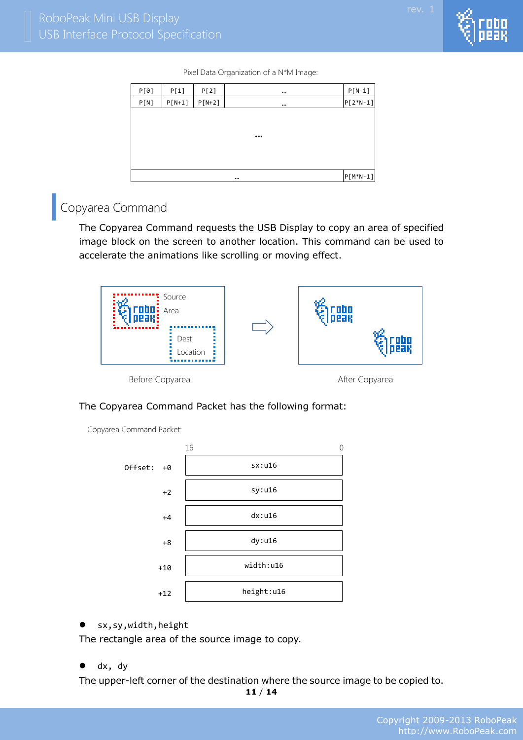

Pixel Data Organization of a N\*M Image:

| P[0] | P[1]     | P[2]     | $\cdots$                | $P[N-1]$   |
|------|----------|----------|-------------------------|------------|
| P[N] | $P[N+1]$ | $P[N+2]$ | $\cdots$                | $P[2*N-1]$ |
|      |          |          |                         |            |
|      |          |          |                         |            |
|      |          |          | $\bullet\bullet\bullet$ |            |
|      |          |          |                         |            |
|      |          |          |                         |            |
|      |          |          | $\cdots$                | $P[M*N-1]$ |

# <span id="page-11-0"></span>Copyarea Command

The Copyarea Command requests the USB Display to copy an area of specified image block on the screen to another location. This command can be used to accelerate the animations like scrolling or moving effect.



Before Copyarea **After Copyarea** After Copyarea

#### The Copyarea Command Packet has the following format:

Copyarea Command Packet:



sx,sy,width,height

The rectangle area of the source image to copy.

• dx, dy

The upper-left corner of the destination where the source image to be copied to.

**11** / **14**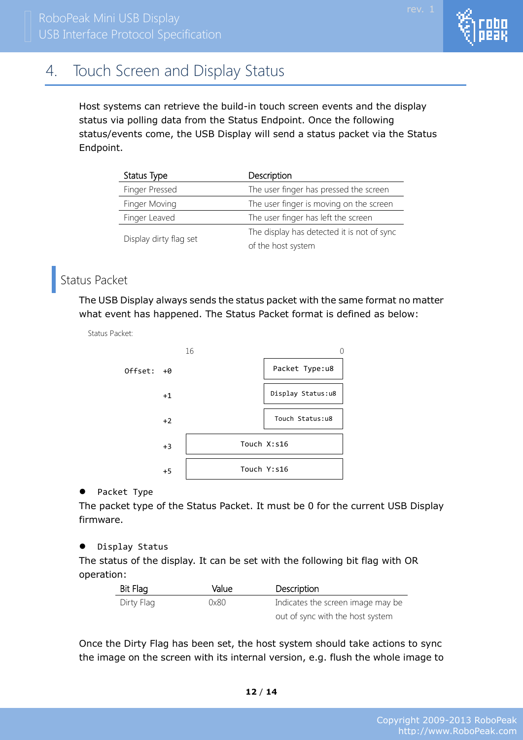# <span id="page-12-0"></span>4. Touch Screen and Display Status

Host systems can retrieve the build-in touch screen events and the display status via polling data from the Status Endpoint. Once the following status/events come, the USB Display will send a status packet via the Status Endpoint.

| Status Type            | Description                                |
|------------------------|--------------------------------------------|
| Finger Pressed         | The user finger has pressed the screen     |
| Finger Moving          | The user finger is moving on the screen    |
| Finger Leaved          | The user finger has left the screen        |
|                        | The display has detected it is not of sync |
| Display dirty flag set | of the host system                         |

# <span id="page-12-1"></span>Status Packet

Status Packet:

The USB Display always sends the status packet with the same format no matter what event has happened. The Status Packet format is defined as below:



### • Packet Type

The packet type of the Status Packet. It must be 0 for the current USB Display firmware.

### $\bullet$  Display Status

The status of the display. It can be set with the following bit flag with OR operation:

| Bit Flag   | Value | Description                       |
|------------|-------|-----------------------------------|
| Dirty Flag | 0x80  | Indicates the screen image may be |
|            |       | out of sync with the host system  |

Once the Dirty Flag has been set, the host system should take actions to sync the image on the screen with its internal version, e.g. flush the whole image to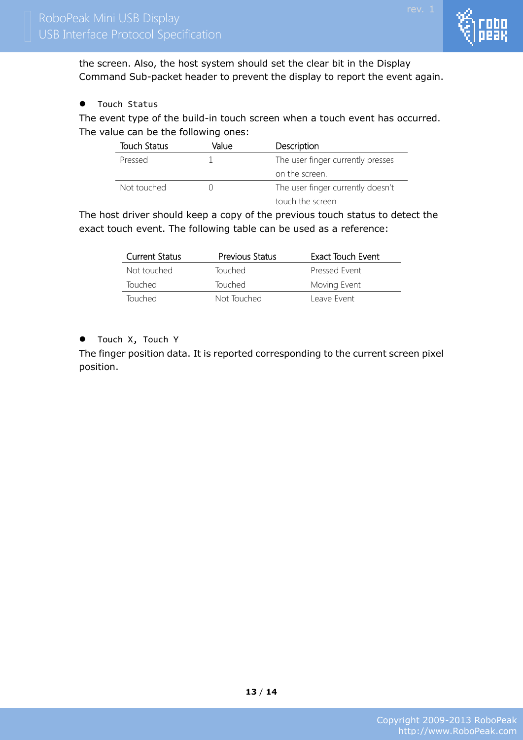

the screen. Also, the host system should set the clear bit in the Display Command Sub-packet header to prevent the display to report the event again.

**•** Touch Status

The event type of the build-in touch screen when a touch event has occurred. The value can be the following ones:

| Touch Status | Value | Description                       |
|--------------|-------|-----------------------------------|
| Pressed      |       | The user finger currently presses |
|              |       | on the screen.                    |
| Not touched  |       | The user finger currently doesn't |
|              |       | touch the screen                  |

The host driver should keep a copy of the previous touch status to detect the exact touch event. The following table can be used as a reference:

| <b>Current Status</b> | <b>Previous Status</b> | Exact Touch Event |
|-----------------------|------------------------|-------------------|
| Not touched           | <b>Touched</b>         | Pressed Event     |
| <b>Touched</b>        | Touched                | Moving Event      |
| Touched               | Not Touched            | Leave Event       |

#### **•** Touch X, Touch Y

The finger position data. It is reported corresponding to the current screen pixel position.